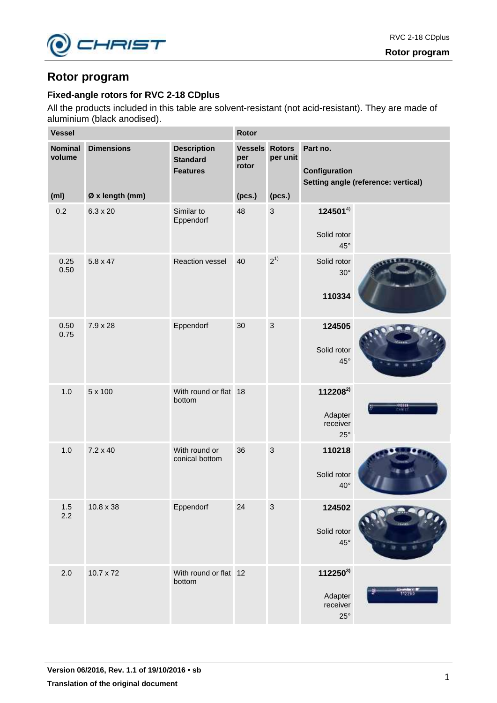

# **Rotor program**

# **Fixed-angle rotors for RVC 2-18 CDplus**

All the products included in this table are solvent-resistant (not acid-resistant). They are made of aluminium (black anodised).

| <b>Vessel</b>            |                   |                                                          | Rotor                                 |                |                                                             |                                     |  |
|--------------------------|-------------------|----------------------------------------------------------|---------------------------------------|----------------|-------------------------------------------------------------|-------------------------------------|--|
| <b>Nominal</b><br>volume | <b>Dimensions</b> | <b>Description</b><br><b>Standard</b><br><b>Features</b> | <b>Vessels Rotors</b><br>per<br>rotor | per unit       | Part no.<br>Configuration                                   | Setting angle (reference: vertical) |  |
| (m <sub>l</sub> )        | Ø x length (mm)   |                                                          | (pcs.)                                | (pcs.)         |                                                             |                                     |  |
| 0.2                      | $6.3 \times 20$   | Similar to<br>Eppendorf                                  | 48                                    | $\mathbf{3}$   | $124501^{4}$<br>Solid rotor<br>45°                          |                                     |  |
| 0.25<br>0.50             | $5.8 \times 47$   | Reaction vessel                                          | 40                                    | $2^{1}$        | Solid rotor<br>$30^\circ$<br>110334                         |                                     |  |
| 0.50<br>0.75             | 7.9 x 28          | Eppendorf                                                | 30                                    | 3              | 124505<br>Solid rotor<br>$45^{\circ}$                       |                                     |  |
| 1.0                      | 5 x 100           | With round or flat 18<br>bottom                          |                                       |                | 112208 <sup>2)</sup><br>Adapter<br>receiver<br>$25^{\circ}$ | -442203<br>Children                 |  |
| 1.0                      | $7.2 \times 40$   | With round or<br>conical bottom                          | 36                                    | $\overline{3}$ | 110218<br>Solid rotor<br>$40^{\circ}$                       |                                     |  |
| $1.5\,$<br>2.2           | $10.8 \times 38$  | Eppendorf                                                | 24                                    | $\mathbf{3}$   | 124502<br>Solid rotor<br>45°                                |                                     |  |
| 2.0                      | $10.7 \times 72$  | With round or flat 12<br>bottom                          |                                       |                | $112250^{3}$<br>Adapter<br>receiver<br>$25^{\circ}$         |                                     |  |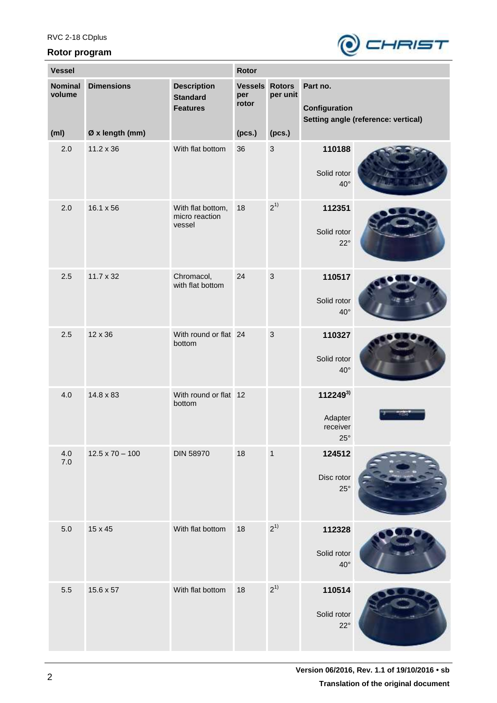## **Rotor program**



| <b>Vessel</b>            |                        |                                                          | Rotor                                 |              |                                               |                                     |
|--------------------------|------------------------|----------------------------------------------------------|---------------------------------------|--------------|-----------------------------------------------|-------------------------------------|
| <b>Nominal</b><br>volume | <b>Dimensions</b>      | <b>Description</b><br><b>Standard</b><br><b>Features</b> | <b>Vessels Rotors</b><br>per<br>rotor | per unit     | Part no.<br>Configuration                     | Setting angle (reference: vertical) |
| (m <sub>l</sub> )        | Ø x length (mm)        |                                                          | (pcs.)                                | (pcs.)       |                                               |                                     |
| 2.0                      | $11.2 \times 36$       | With flat bottom                                         | 36                                    | $\mathbf{3}$ | 110188<br>Solid rotor<br>$40^{\circ}$         |                                     |
| 2.0                      | $16.1 \times 56$       | With flat bottom,<br>micro reaction<br>vessel            | 18                                    | $2^{1}$      | 112351<br>Solid rotor<br>$22^{\circ}$         |                                     |
| 2.5                      | $11.7 \times 32$       | Chromacol,<br>with flat bottom                           | 24                                    | $\mathbf{3}$ | 110517<br>Solid rotor<br>$40^{\circ}$         |                                     |
| 2.5                      | 12 x 36                | With round or flat 24<br>bottom                          |                                       | $\mathbf{3}$ | 110327<br>Solid rotor<br>$40^{\circ}$         |                                     |
| 4.0                      | 14.8 x 83              | With round or flat 12<br>bottom                          |                                       |              | 1122493)<br>Adapter<br>receiver<br>$25^\circ$ |                                     |
| 4.0<br>$7.0$             | $12.5 \times 70 - 100$ | <b>DIN 58970</b>                                         | 18                                    | $\mathbf{1}$ | 124512<br>Disc rotor<br>$25^{\circ}$          |                                     |
| 5.0                      | 15 x 45                | With flat bottom                                         | 18                                    | $2^{1}$      | 112328<br>Solid rotor<br>$40^{\circ}$         |                                     |
| 5.5                      | $15.6 \times 57$       | With flat bottom                                         | 18                                    | $2^{1}$      | 110514<br>Solid rotor<br>$22^{\circ}$         |                                     |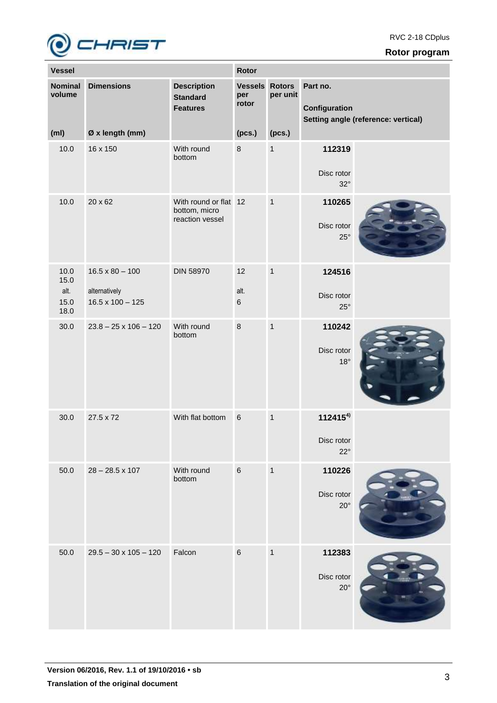

## **Rotor program**

| <b>Vessel</b>            |                                          |                                                           | Rotor                                 |              |                                            |                                     |
|--------------------------|------------------------------------------|-----------------------------------------------------------|---------------------------------------|--------------|--------------------------------------------|-------------------------------------|
| <b>Nominal</b><br>volume | <b>Dimensions</b>                        | <b>Description</b><br><b>Standard</b><br><b>Features</b>  | <b>Vessels Rotors</b><br>per<br>rotor | per unit     | Part no.<br>Configuration                  | Setting angle (reference: vertical) |
| (m <sub>l</sub> )        | Ø x length (mm)                          |                                                           | (pcs.)                                | (pcs.)       |                                            |                                     |
| 10.0                     | 16 x 150                                 | With round<br>bottom                                      | 8                                     | $\mathbf{1}$ | 112319<br>Disc rotor<br>$32^\circ$         |                                     |
| 10.0                     | 20 x 62                                  | With round or flat 12<br>bottom, micro<br>reaction vessel |                                       | $\mathbf{1}$ | 110265<br>Disc rotor<br>$25^{\circ}$       |                                     |
| 10.0<br>15.0             | $16.5 \times 80 - 100$                   | <b>DIN 58970</b>                                          | 12                                    | $\mathbf{1}$ | 124516                                     |                                     |
| alt.<br>15.0<br>18.0     | alternatively<br>$16.5 \times 100 - 125$ |                                                           | alt.<br>$\,6$                         |              | Disc rotor<br>$25^{\circ}$                 |                                     |
| 30.0                     | $23.8 - 25 \times 106 - 120$             | With round<br>bottom                                      | 8                                     | $\mathbf{1}$ | 110242<br>Disc rotor<br>$18^{\circ}$       |                                     |
| 30.0                     | 27.5 x 72                                | With flat bottom                                          | $\,6\,$                               | $\mathbf{1}$ | $112415^{4}$<br>Disc rotor<br>$22^{\circ}$ |                                     |
| 50.0                     | $28 - 28.5 \times 107$                   | With round<br>bottom                                      | $6\phantom{1}6$                       | $\mathbf{1}$ | 110226<br>Disc rotor<br>$20^{\circ}$       |                                     |
| 50.0                     | $29.5 - 30 \times 105 - 120$             | Falcon                                                    | $\,6\,$                               | $\mathbf{1}$ | 112383<br>Disc rotor<br>$20^{\circ}$       |                                     |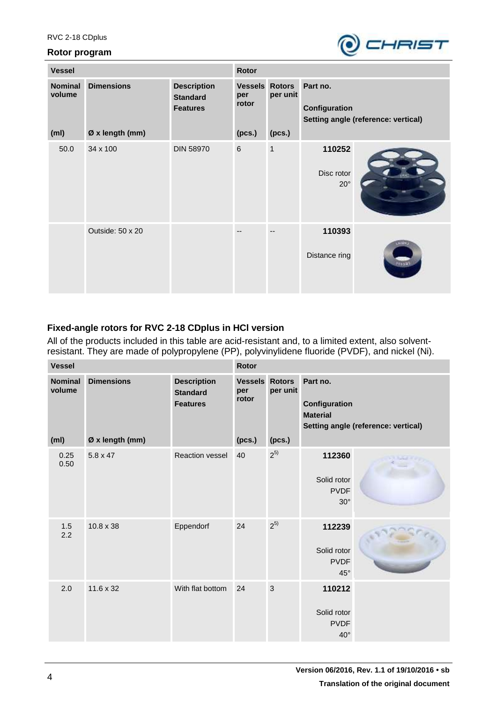#### **Rotor program**



| <b>Vessel</b>            |                   |                                                          | <b>Rotor</b>                          |          |                                                                  |               |  |
|--------------------------|-------------------|----------------------------------------------------------|---------------------------------------|----------|------------------------------------------------------------------|---------------|--|
| <b>Nominal</b><br>volume | <b>Dimensions</b> | <b>Description</b><br><b>Standard</b><br><b>Features</b> | <b>Vessels Rotors</b><br>per<br>rotor | per unit | Part no.<br>Configuration<br>Setting angle (reference: vertical) |               |  |
| (m <sub>l</sub> )        | Ø x length (mm)   |                                                          | (pcs.)                                | (pcs.)   |                                                                  |               |  |
| 50.0                     | 34 x 100          | <b>DIN 58970</b>                                         | $\,6\,$                               | 1        | 110252<br>Disc rotor<br>$20^{\circ}$                             |               |  |
|                          | Outside: 50 x 20  |                                                          |                                       |          | 110393<br>Distance ring                                          | <b>CATHER</b> |  |

# **Fixed-angle rotors for RVC 2-18 CDplus in HCl version**

All of the products included in this table are acid-resistant and, to a limited extent, also solventresistant. They are made of polypropylene (PP), polyvinylidene fluoride (PVDF), and nickel (Ni).

| <b>Vessel</b> |                                               |                                      | Rotor                                                    |                                          |                                     |                                                      |                                     |
|---------------|-----------------------------------------------|--------------------------------------|----------------------------------------------------------|------------------------------------------|-------------------------------------|------------------------------------------------------|-------------------------------------|
|               | <b>Nominal</b><br>volume<br>(m <sub>l</sub> ) | <b>Dimensions</b><br>Ø x length (mm) | <b>Description</b><br><b>Standard</b><br><b>Features</b> | <b>Vessels</b><br>per<br>rotor<br>(pcs.) | <b>Rotors</b><br>per unit<br>(pcs.) | Part no.<br>Configuration<br><b>Material</b>         | Setting angle (reference: vertical) |
|               | 0.25<br>0.50                                  | $5.8 \times 47$                      | <b>Reaction vessel</b>                                   | 40                                       | $2^{5}$                             | 112360<br>Solid rotor<br><b>PVDF</b><br>$30^\circ$   |                                     |
|               | 1.5<br>2.2                                    | $10.8 \times 38$                     | Eppendorf                                                | 24                                       | $2^{5}$                             | 112239<br>Solid rotor<br><b>PVDF</b><br>$45^{\circ}$ |                                     |
|               | 2.0                                           | $11.6 \times 32$                     | With flat bottom                                         | 24                                       | 3                                   | 110212<br>Solid rotor<br><b>PVDF</b><br>$40^{\circ}$ |                                     |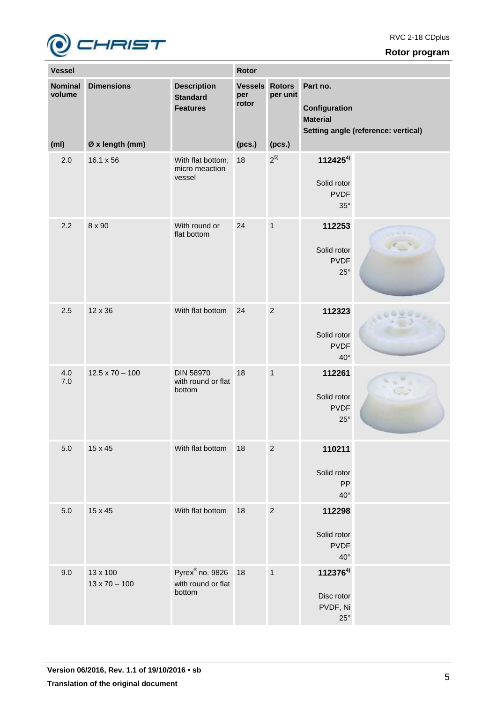

## **Rotor program**

| <b>Vessel</b>                                 |                                      |                                                             | Rotor                                    |                                     |                                                          |                                     |
|-----------------------------------------------|--------------------------------------|-------------------------------------------------------------|------------------------------------------|-------------------------------------|----------------------------------------------------------|-------------------------------------|
| <b>Nominal</b><br>volume<br>(m <sub>l</sub> ) | <b>Dimensions</b><br>Ø x length (mm) | <b>Description</b><br><b>Standard</b><br><b>Features</b>    | <b>Vessels</b><br>per<br>rotor<br>(pcs.) | <b>Rotors</b><br>per unit<br>(pcs.) | Part no.<br>Configuration<br><b>Material</b>             | Setting angle (reference: vertical) |
|                                               |                                      |                                                             |                                          |                                     |                                                          |                                     |
| 2.0                                           | $16.1 \times 56$                     | With flat bottom;<br>micro meaction<br>vessel               | 18                                       | $2^{5}$                             | $112425^{4}$<br>Solid rotor<br><b>PVDF</b><br>$35^\circ$ |                                     |
| 2.2                                           | 8 x 90                               | With round or<br>flat bottom                                | 24                                       | $\mathbf{1}$                        | 112253<br>Solid rotor<br><b>PVDF</b><br>$25^{\circ}$     |                                     |
| 2.5                                           | 12 x 36                              | With flat bottom                                            | 24                                       | $\overline{2}$                      | 112323<br>Solid rotor<br><b>PVDF</b><br>$40^{\circ}$     |                                     |
| 4.0<br>7.0                                    | $12.5 \times 70 - 100$               | <b>DIN 58970</b><br>with round or flat<br>bottom            | 18                                       | $\mathbf{1}$                        | 112261<br>Solid rotor<br><b>PVDF</b><br>$25^{\circ}$     |                                     |
| $5.0\,$                                       | 15 x 45                              | With flat bottom                                            | 18                                       | $\sqrt{2}$                          | 110211<br>Solid rotor<br>PP<br>$40^{\circ}$              |                                     |
| $5.0\,$                                       | 15 x 45                              | With flat bottom                                            | 18                                       | $\overline{2}$                      | 112298<br>Solid rotor<br><b>PVDF</b><br>$40^{\circ}$     |                                     |
| 9.0                                           | 13 x 100<br>$13 \times 70 - 100$     | Pyrex <sup>®</sup> no. 9826<br>with round or flat<br>bottom | 18                                       | $\mathbf{1}$                        | 1123764)<br>Disc rotor<br>PVDF, Ni<br>$25^{\circ}$       |                                     |